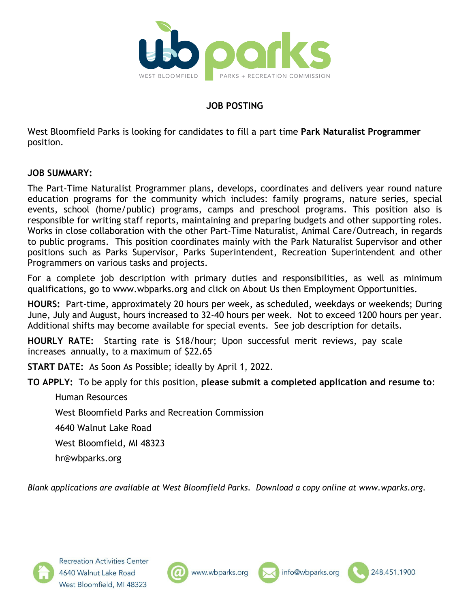

# **JOB POSTING**

West Bloomfield Parks is looking for candidates to fill a part time **Park Naturalist Programmer**  position.

#### **JOB SUMMARY:**

The Part-Time Naturalist Programmer plans, develops, coordinates and delivers year round nature education programs for the community which includes: family programs, nature series, special events, school (home/public) programs, camps and preschool programs. This position also is responsible for writing staff reports, maintaining and preparing budgets and other supporting roles. Works in close collaboration with the other Part-Time Naturalist, Animal Care/Outreach, in regards to public programs. This position coordinates mainly with the Park Naturalist Supervisor and other positions such as Parks Supervisor, Parks Superintendent, Recreation Superintendent and other Programmers on various tasks and projects.

For a complete job description with primary duties and responsibilities, as well as minimum qualifications, go to www.wbparks.org and click on About Us then Employment Opportunities.

**HOURS:** Part-time, approximately 20 hours per week, as scheduled, weekdays or weekends; During June, July and August, hours increased to 32-40 hours per week. Not to exceed 1200 hours per year. Additional shifts may become available for special events. See job description for details.

**HOURLY RATE:** Starting rate is \$18/hour; Upon successful merit reviews, pay scale increases annually, to a maximum of \$22.65

**START DATE:** As Soon As Possible; ideally by April 1, 2022.

**TO APPLY:** To be apply for this position, **please submit a completed application and resume to**:

Human Resources

West Bloomfield Parks and Recreation Commission

4640 Walnut Lake Road

West Bloomfield, MI 48323

hr@wbparks.org

*Blank applications are available at West Bloomfield Parks. Download a copy online at www.wparks.org.*







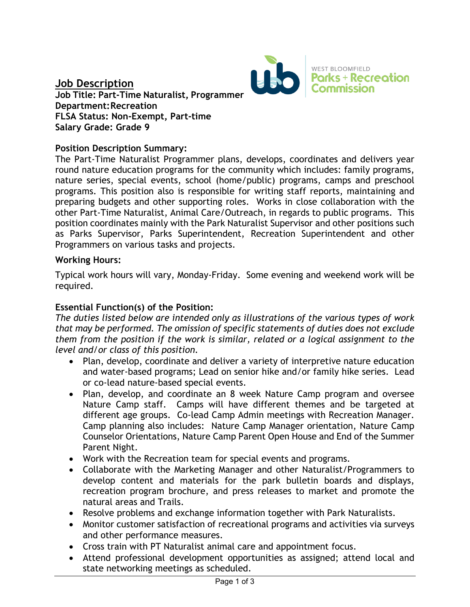

## **Job Description Job Title: Part-Time Naturalist, Programmer Department:Recreation FLSA Status: Non-Exempt, Part-time Salary Grade: Grade 9**

## **Position Description Summary:**

The Part-Time Naturalist Programmer plans, develops, coordinates and delivers year round nature education programs for the community which includes: family programs, nature series, special events, school (home/public) programs, camps and preschool programs. This position also is responsible for writing staff reports, maintaining and preparing budgets and other supporting roles. Works in close collaboration with the other Part-Time Naturalist, Animal Care/Outreach, in regards to public programs. This position coordinates mainly with the Park Naturalist Supervisor and other positions such as Parks Supervisor, Parks Superintendent, Recreation Superintendent and other Programmers on various tasks and projects.

#### **Working Hours:**

Typical work hours will vary, Monday-Friday. Some evening and weekend work will be required.

### **Essential Function(s) of the Position:**

*The duties listed below are intended only as illustrations of the various types of work that may be performed. The omission of specific statements of duties does not exclude them from the position if the work is similar, related or a logical assignment to the level and/or class of this position.*

- Plan, develop, coordinate and deliver a variety of interpretive nature education and water-based programs; Lead on senior hike and/or family hike series. Lead or co-lead nature-based special events.
- Plan, develop, and coordinate an 8 week Nature Camp program and oversee Nature Camp staff. Camps will have different themes and be targeted at different age groups. Co-lead Camp Admin meetings with Recreation Manager. Camp planning also includes: Nature Camp Manager orientation, Nature Camp Counselor Orientations, Nature Camp Parent Open House and End of the Summer Parent Night.
- Work with the Recreation team for special events and programs.
- Collaborate with the Marketing Manager and other Naturalist/Programmers to develop content and materials for the park bulletin boards and displays, recreation program brochure, and press releases to market and promote the natural areas and Trails.
- Resolve problems and exchange information together with Park Naturalists.
- Monitor customer satisfaction of recreational programs and activities via surveys and other performance measures.
- Cross train with PT Naturalist animal care and appointment focus.
- Attend professional development opportunities as assigned; attend local and state networking meetings as scheduled.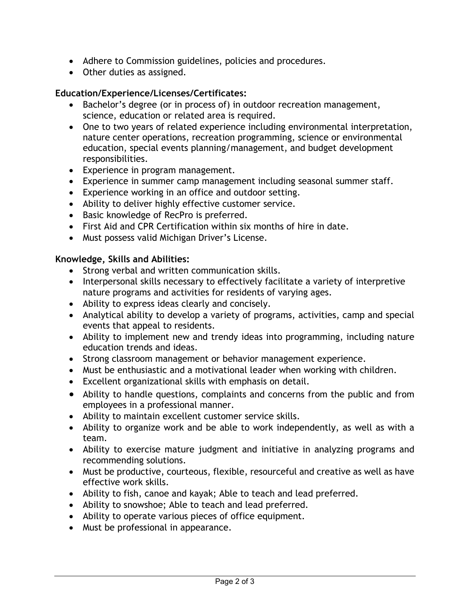- Adhere to Commission guidelines, policies and procedures.
- Other duties as assigned.

### **Education/Experience/Licenses/Certificates:**

- Bachelor's degree (or in process of) in outdoor recreation management, science, education or related area is required.
- One to two years of related experience including environmental interpretation, nature center operations, recreation programming, science or environmental education, special events planning/management, and budget development responsibilities.
- Experience in program management.
- Experience in summer camp management including seasonal summer staff.
- Experience working in an office and outdoor setting.
- Ability to deliver highly effective customer service.
- Basic knowledge of RecPro is preferred.
- First Aid and CPR Certification within six months of hire in date.
- Must possess valid Michigan Driver's License.

#### **Knowledge, Skills and Abilities:**

- Strong verbal and written communication skills.
- Interpersonal skills necessary to effectively facilitate a variety of interpretive nature programs and activities for residents of varying ages.
- Ability to express ideas clearly and concisely.
- Analytical ability to develop a variety of programs, activities, camp and special events that appeal to residents.
- Ability to implement new and trendy ideas into programming, including nature education trends and ideas.
- Strong classroom management or behavior management experience.
- Must be enthusiastic and a motivational leader when working with children.
- Excellent organizational skills with emphasis on detail.
- Ability to handle questions, complaints and concerns from the public and from employees in a professional manner.
- Ability to maintain excellent customer service skills.
- Ability to organize work and be able to work independently, as well as with a team.
- Ability to exercise mature judgment and initiative in analyzing programs and recommending solutions.
- Must be productive, courteous, flexible, resourceful and creative as well as have effective work skills.
- Ability to fish, canoe and kayak; Able to teach and lead preferred.
- Ability to snowshoe; Able to teach and lead preferred.
- Ability to operate various pieces of office equipment.
- Must be professional in appearance.